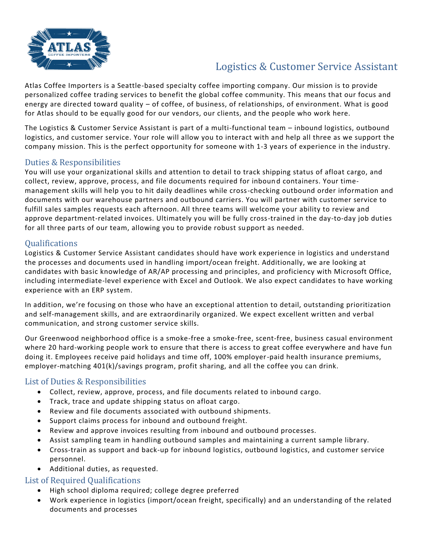

# Logistics & Customer Service Assistant

Atlas Coffee Importers is a Seattle-based specialty coffee importing company. Our mission is to provide personalized coffee trading services to benefit the global coffee community. This means that our focus and energy are directed toward quality – of coffee, of business, of relationships, of environment. What is good for Atlas should to be equally good for our vendors, our clients, and the people who work here.

The Logistics & Customer Service Assistant is part of a multi-functional team – inbound logistics, outbound logistics, and customer service. Your role will allow you to interact with and help all three as we support the company mission. This is the perfect opportunity for someone with 1-3 years of experience in the industry.

### Duties & Responsibilities

You will use your organizational skills and attention to detail to track shipping status of afloat cargo, and collect, review, approve, process, and file documents required for inboun d containers. Your timemanagement skills will help you to hit daily deadlines while cross-checking outbound order information and documents with our warehouse partners and outbound carriers. You will partner with customer service to fulfill sales samples requests each afternoon. All three teams will welcome your ability to review and approve department-related invoices. Ultimately you will be fully cross-trained in the day-to-day job duties for all three parts of our team, allowing you to provide robust support as needed.

#### **Oualifications**

Logistics & Customer Service Assistant candidates should have work experience in logistics and understand the processes and documents used in handling import/ocean freight. Additionally, we are looking at candidates with basic knowledge of AR/AP processing and principles, and proficiency with Microsoft Office, including intermediate-level experience with Excel and Outlook. We also expect candidates to have working experience with an ERP system.

In addition, we're focusing on those who have an exceptional attention to detail, outstanding prioritization and self-management skills, and are extraordinarily organized. We expect excellent written and verbal communication, and strong customer service skills.

Our Greenwood neighborhood office is a smoke-free a smoke-free, scent-free, business casual environment where 20 hard-working people work to ensure that there is access to great coffee everywhere and have fun doing it. Employees receive paid holidays and time off, 100% employer-paid health insurance premiums, employer-matching 401(k)/savings program, profit sharing, and all the coffee you can drink.

#### List of Duties & Responsibilities

- Collect, review, approve, process, and file documents related to inbound cargo.
- Track, trace and update shipping status on afloat cargo.
- Review and file documents associated with outbound shipments.
- Support claims process for inbound and outbound freight.
- Review and approve invoices resulting from inbound and outbound processes.
- Assist sampling team in handling outbound samples and maintaining a current sample library.
- Cross-train as support and back-up for inbound logistics, outbound logistics, and customer service personnel.
- Additional duties, as requested.

#### List of Required Qualifications

- High school diploma required; college degree preferred
- Work experience in logistics (import/ocean freight, specifically) and an understanding of the related documents and processes